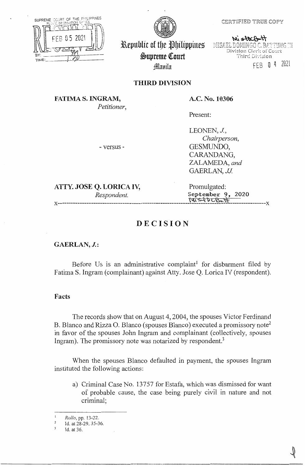

SUPREME COURT OF THE PHILIPPINES -2021 TIME

Republic of the Philippines  $\overline{\phantom{a}}$ ~upreme (ourt J4llmtiln

MiscoCont MISAEL DOMINGO C. BATTUNG IN Division Clerk of Court Third Division

fE8 O 4 2021

## **THIRD DIVISION**

**FATIMA S. INGRAM,**  *Petitioner,*  **A.C. No. 10306** 

Present:

- versus -

LEONEN, J., *Chairperson,*  GESMUNDO, CARANDANG, ZALAMEDA, and GAERLAN, *JJ.* 

**ATTY. JOSE Q. LORICA IV,** Promulgated:

*Respondent.* **September 9, 2020**<br>  $\forall \mathbf{i} \leq \forall \mathbf{b} \in \mathbb{S}$ x-----------------------------------------------------------~~-~-~-~~~----------------x

# **DECISION**

**GAERLAN, J.:** 

Before Us is an administrative complaint<sup>1</sup> for disbarment filed by Fatima S. Ingram (complainant) against Atty. Jose Q. Lorica IV (respondent).

## **Facts**

The records show that on August 4, 2004, the spouses Victor Ferdinand B. Blanco and Rizza O. Blanco (spouses Blanco) executed a promissory note<sup>2</sup> in favor of the spouses John Ingram and complainant ( collectively, spouses Ingram). The promissory note was notarized by respondent.<sup>3</sup>

When the spouses Blanco defaulted in payment, the spouses Ingram instituted the following actions:

a) Criminal Case No. 13757 for Estafa, which was dismissed for want of probable cause, the case being purely civil in nature and not criminal;

*Rollo,* pp. 13-22.

 $\overline{2}$ Id. at 28-29, 35-36.

Id. at 36.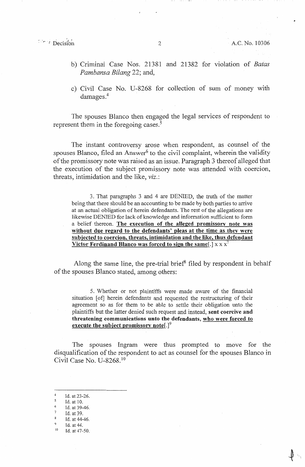# $\overrightarrow{P}$  Decision 2 A.C. No. 10306

- b) Criminal Case Nos. 21381 and 21382 for violation of *Batas Pambansa Bilang* 22; and,
- c) Civil Case No. U-8268 for collection of sum of money with damages.<sup>4</sup>

The spouses Blanco then engaged the legal services of respondent to represent them in the foregoing cases.<sup>5</sup>

The instant controversy arose when respondent, as counsel of the spouses Blanco, filed an Answer<sup>6</sup> to the civil complaint, wherein the validity of the promissory note was raised as an issue. Paragraph 3 thereof alleged that the execution of the subject promissory note was attended with coercion, threats, intimidation and the like, viz.:

3. That paragraphs 3 and 4 are DENIED, the truth of the matter being that there should be an accounting to be made by both parties to arrive at an actual obligation of herein defendants. The rest of the allegations are likewise DENIED for lack of knowledge and information sufficient to form a belief thereon. **The execution of the alleged promissory note was without due regard to the defendants' pleas at the time as thev were subjected to coercion, threats, intimidation and the like, thus defendant Victor Ferdinand Blanco was forced to sign the same[.]**  $x \times x^7$ 

Along the same line, the pre-trial brief<sup>8</sup> filed by respondent in behalf of the spouses Blanco stated, among others:

5. Whether or not plaintiffs were made aware of the financial situation [of] herein defendants and requested the restructuring of their agreement so as for them to be able to settle their obligation unto the plaintiffs but the latter denied such request and instead, **sent coercive and threatening communications unto the defendants, who were forced to execute the subject promissory note[.]<sup>9</sup>**

The spouses Ingram were thus prompted to move for the disqualification of the respondent to act as counsel for the spouses Blanco in Civil Case No. U-8268.<sup>10</sup>

- 
- Id. at 44-46.
- $^{9}$  Id. at 44.
- Id. at 47-50.

 $^{4}$  Id. at 23-26.<br><sup>5</sup> Id. at 10.

<sup>6</sup> Id. at 39-46.<br>  $\frac{7}{10}$  Id. at 39.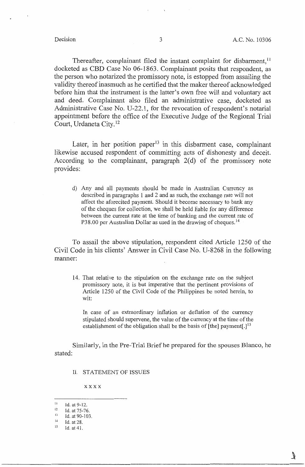J

Thereafter, complainant filed the instant complaint for disbarment,<sup>11</sup> docketed as CBD Case No 06-1863. Complainant posits that respondent, as the person who notarized the promissory note, is estopped from assailing the validity thereof inasmuch as he certified that the maker thereof acknowledged before him that the instrument is the latter's own free will and voluntary act and deed. Complainant also filed an administrative case, docketed as Administrative Case No. U-22.1, for the revocation of respondent's notarial appointment before the office of the Executive Judge of the Regional Trial Court, Urdaneta City. <sup>12</sup>

Later, in her position paper<sup>13</sup> in this disbarment case, complainant likewise accused respondent of committing acts of dishonesty and deceit. According to the complainant, paragraph  $2(d)$  of the promissory note provides:

d) Any and all payments should be made in Australian Currency as described in paragraphs 1 and 2 and as such, the exchange rate will not affect the aforecited payment. Should it become necessary to bank any of the cheques for collection, we shall be held liable for any difference between the current rate at the time of banking and the current rate of P38.00 per Australian Dollar as used in the drawing of cheques.<sup>14</sup>

To assail the above stipulation, respondent cited Article 1250 of the Civil Code in his clients' Answer in Civil Case No. U-8268 in the following manner:

14. That relative to the stipulation on the exchange rate on the subject promissory note, it is but imperative that the pertinent provisions of Article 1250 of the Civil Code of the Philippines be noted herein, to wit:

In case of an extraordinary inflation or deflation of the currency stipulated should supervene, the value of the currency at the time of the establishment of the obligation shall be the basis of [the] payment[.]<sup>15</sup>

Similarly, in the Pre-Trial Brief he prepared for the spouses Blanco, he stated:

II. STATEMENT OF ISSUES

xxxx

 $11$  Id. at 9-12.

 $12$  Id. at 75-76.

<sup>&</sup>lt;sup>13</sup> Id. at 90-103.

 $14$  Id. at 28.

<sup>15</sup> Id. at 41.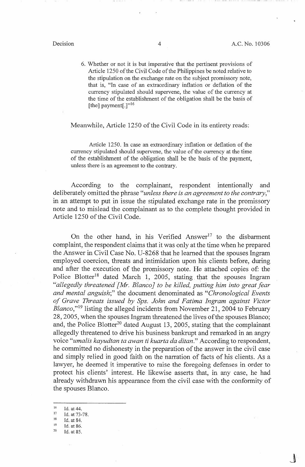$\mathbb{I}$ 

6. Whether or not it is but imperative that the pertinent provisions of Article 1250 of the Civil Code of the Philippines be noted relative to the stipulation on the exchange rate on the subject promissory note, that is, "In case of an extraordinary inflation or deflation of the currency stipulated should supervene, the value of the currency at the time of the establishment of the obligation shall be the basis of [the] payment[.] $"$ <sup>16</sup>

Meanwhile, Article 1250 of the Civil Code in its entirety reads:

Article 1250. In case an extraordinary inflation or deflation of the currency stipulated should supervene, the value of the currency at the time of the establishment of the obligation shall be the basis of the payment, unless there is an agreement to the contrary.

According to the complainant, respondent intentionally and deliberately omitted the phrase *"unless there is an agreement to the contrary,"*  in an attempt to put in issue the stipulated exchange rate in the promissory note and to mislead the complainant as to the complete thought provided in Article 1250 of the Civil Code.

On the other hand, in his Verified Answer<sup>17</sup> to the disbarment complaint, the respondent claims that it was only at the time when he prepared the Answer in Civil Case No. U-8268 that he learned that the spouses Ingram employed coercion, threats and intimidation upon his clients before, during and after the execution of the promissory note. He attached copies of: the Police Blotter<sup>18</sup> dated March 1, 2005, stating that the spouses Ingram *"allegedly threatened [lvfr. Blanco* J *to be killed, putting him into great fear and mental anguish;"* the document denominated as *"Chronological Events of Grave Threats issued by Sps. John and Fatima Ingram against Victor Blanco*,"<sup>19</sup> listing the alleged incidents from November 21, 2004 to February 28, 2005, when the spouses Ingram threatened the lives of the spouses Blanco; and, the Police Blotter<sup>20</sup> dated August 13, 2005, stating that the complainant allegedly threatened to drive his business bankrupt and remarked in an angry voice *"umalis kayudtan ta awan ti kuarta da ditan."* According to respondent, he committed no dishonesty in the preparation of the answer in the civil case and simply relied in good faith on the narration of facts of his clients. As a lawyer, he deemed it imperative to raise the foregoing defenses in order to protect his clients' interest. He likewise asserts that, in any case, he had already withdrawn his appearance from the civil case with the conformity of the spouses Blanco.

 $^{16}$  Id. at 44.<br>  $^{17}$  Id. at 73-78.

 $18$  Id. at 84.

 $19$  Id. at 86.<br> $20$  Id. at 85.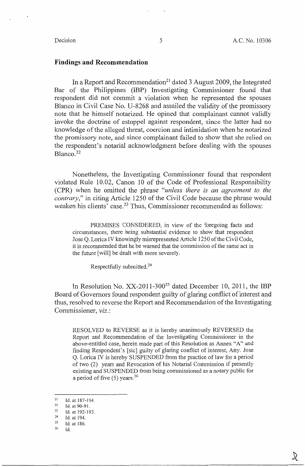### **Findings and Recommendation**

In a Report and Recommendation<sup>21</sup> dated 3 August 2009, the Integrated Bar of the Philippines (IBP) Investigating Commissioner found that respondent did not commit a violation when he represented the spouses Blanco in Civil Case No. U-8268 and assailed the validity of the promissory note that he himself notarized. He opined that complainant cannot validly invoke the doctrine of estoppel against respondent, since the latter had no knowledge of the alleged threat, coercion and intimidation when he notarized the promissory note, and since complainant failed to show that she relied on the respondent's notarial acknowledgment before dealing with the spouses Blanco.<sup>22</sup>

Nonetheless, the Investigating Commissioner found that respondent violated Rule 10.02, Canon 10 of the Code of Professional Responsibility (CPR) when he omitted the phrase *"unless there is an agreement to the contrary,"* in citing Article 1250 of the Civil Code because the phrase would weaken his clients' case.<sup>23</sup> Thus, Commissioner recommended as follows:

PREMISES CONSIDERED, in view of the foregoing facts and circumstances, there being substantial evidence to show that respondent Jose Q. LoricaIV knowingly misrepresented Article 1250 of the Civil Code, it is recommended that he be warned that the commission of the same act in the future [ will] be dealt with more severely.

Respectfully submitted. <sup>24</sup>

In Resolution No.  $XX-2011-300^{25}$  dated December 10, 2011, the IBP Board of Governors found respondent guilty of glaring conflict of interest and thus, resolved to reverse the Report and Recommendation of the Investigating Commissioner, *viz.:* 

RESOLVED to REVERSE as it is hereby unanimously REVERSED the Report and Recommendation of the Investigating Commissioner in the above-entitled case, herein made part of this Resolution as Annex "A" and finding Respondent's [sic] guilty of glaring conflict of interest, Atty. Jose Q. Lorica IV is hereby SUSPENDED from the practice of law for a period of two (2) years and Revocation of his Notarial Commission if presently existing and SUSPENDED from being commissioned as a notary public for a period of five (5) years. <sup>26</sup>

26 Id.

<sup>21</sup>  Id. at 187-194.

<sup>22</sup>  Id. at 90-91.

<sup>23</sup>  Id. at 192-193.

<sup>24</sup>  Id. at 194.

<sup>25</sup>  Id. at 186.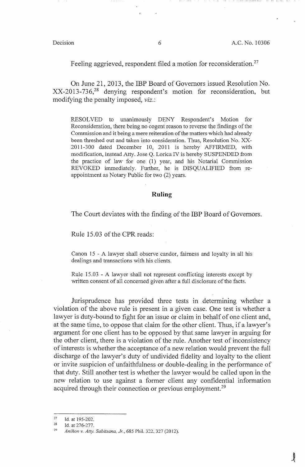Feeling aggrieved, respondent filed a motion for reconsideration.<sup>27</sup>

On June 21, 2013, the IBP Board of Governors issued Resolution No. XX-2013-736,28 denying respondent's motion for reconsideration, but modifying the penalty imposed, *viz.:* 

RESOLVED to unanimously DENY Respondent's Motion for Reconsideration, there being no cogent reason to reverse the findings of the Commission and it being a mere reiteration of the matters which had already been threshed out and taken into consideration. Thus, Resolution No. XX-2011-300 dated December 10, 2011 is hereby AFFIRMED, with modification, instead Atty. Jose Q. Lorica IV is hereby SUSPENDED from the practice of law for one (1) year, and his Notarial Commission REVOKED immediately. Further, he is DISQUALIFIED from reappointment as Notary Public for two (2) years.

### **Ruling**

The Court deviates with the finding of the IBP Board of Governors.

Rule 15.03 of the CPR reads:

Canon 15 - A lawyer shall observe candor, fairness and loyalty in all his dealings and transactions with his clients.

Rule 15.03 - A lawyer shall not represent conflicting interests except by written consent of all concerned given after a full disclosure of the facts.

Jurisprudence has provided three tests in determining whether a violation of the above rule is present in a given case. One test is whether a lawyer is duty-bound to fight for an issue or claim in behalf of one client and, at the same time, to oppose that claim for the other client. Thus, if a lawyer's argument for one client has to be opposed by that same lawyer in arguing for the other client, there is a violation of the rule. Another test of inconsistency of interests is whether the acceptance of a new relation would prevent the full discharge of the lawyer's duty of undivided fidelity and loyalty to the client or invite suspicion of unfaithfulness or double-dealing in the performance of that duty. Still another test is whether the lawyer would be called upon in the new relation to use against a former client any confidential information acquired through their connection or previous employment.<sup>29</sup>

<sup>27</sup>  Id. at 195-202.

<sup>28</sup> 

<sup>&</sup>lt;sup>28</sup> Id. at 276-277.<br><sup>29</sup> *Aniñon v. Atty. Sabitsana, Jr.*, 685 Phil. 322, 327 (2012).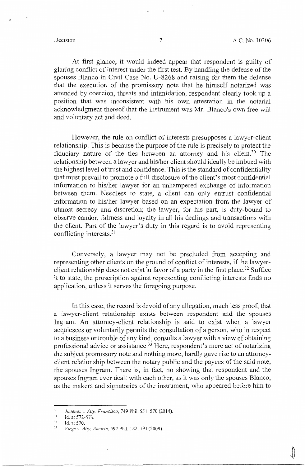At first glance, it would indeed appear that respondent is guilty of glaring conflict of interest under the first test. By handling the defense of the spouses Blanco in Civil Case No. U-8268 and raising for them the defense that the execution of the promissory note that he himself notarized was attended by coercion, threats and intimidation, respondent clearly took up a position that was inconsistent with his own attestation in the notarial acknowledgment thereof that the instrument was Mr. Bianco's own free will and voluntary act and deed.

However, the rule on conflict of interests presupposes a lawyer-client relationship. This is because the purpose of the rule is precisely to protect the fiduciary nature of the ties between an attorney and his client.<sup>30</sup> The relationship between a lawyer and his/her client should ideally be imbued with the highest level of trust and confidence. This is the standard of confidentiality that must prevail to promote a full disclosure of the client's most confidential information to his/her lawyer for an unhampered exchange of information between them. Needless to state, a client can only entrust confidential information to his/her lawyer based on an expectation from the lawyer of utmost secrecy and discretion; the lawyer, for his part, is duty-bound to observe candor, fairness and loyalty in all his dealings and transactions with the client. Part of the lawyer's duty in this regard is to avoid representing conflicting interests. <sup>31</sup>

Conversely, a lawyer may not be precluded from accepting and representing other clients on the ground of conflict of interests, if the lawyerclient relationship does not exist in favor of a party in the first place.<sup>32</sup> Suffice it to state, the proscription against representing conflicting interests finds no application, unless it serves the foregoing purpose.

In this case, the record is devoid of any allegation, much less proof, that a lawyer-client relationship exists between respondent and the spouses Ingram. An attorney-client relationship is said to exist when a lawyer acquiesces or voluntarily permits the consultation of a person, who in respect to a business or trouble of any kind, consults a lawyer with a view of obtaining professional advice or assistance.<sup>33</sup> Here, respondent's mere act of notarizing the subject promissory note and nothing more, hardly gave rise to an attorneyclient relationship between the notary public and the payees of the said note, the spouses Ingram. There is, in fact, no showing that respondent and the spouses Ingram ever dealt with each other, as it was only the spouses Blanco, as the makers and signatories of the instrument, who appeared before him to

<sup>30</sup>*Jimenez v. Atty. Francisco,* 749 Phil. 551. 570(2014).

<sup>&</sup>lt;sup>31</sup> Id. at 572-573.<br><sup>32</sup> Id. at 570.<br><sup>33</sup> *Virgo v. Atty. Amorin*, 597 Phil. 182, 191 (2009).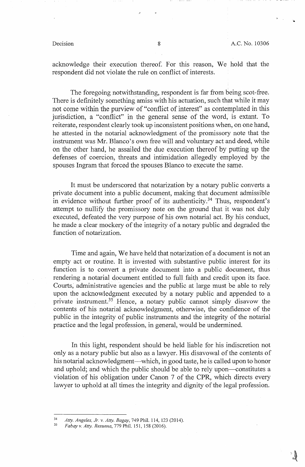-..

acknowledge their execution thereof. For this reason, We hold that the respondent did not violate the rule on conflict of interests.

The foregoing notwithstanding, respondent is far from being scot-free. There is definitely something amiss with his actuation, such that while it may not come within the purview of "conflict of interest" as contemplated in this jurisdiction, a "conflict" in the general sense of the word, is extant. To reiterate, respondent clearly took up inconsistent positions when, on one hand, he attested in the notarial acknowledgment of the promissory note that the instrument was Mr. Blanco's own free will and voluntary act and deed, while on the other hand, he assailed the due execution thereof by putting up the defenses of coercion, threats and intimidation allegedly employed by the spouses Ingram that forced the spouses Blanco to execute the same.

It must be underscored that notarization by a notary public converts a private document into a public document, making that document admissible in evidence without further proof of its authenticity.<sup>34</sup> Thus, respondent's attempt to nullify the promissory note on the ground that it was not duly executed, defeated the very purpose of his own notarial act. By his conduct, he made a clear mockery of the integrity of a notary public and degraded the function of notarization.

Time and again, We have held that notarization of a document is not an empty act or routine. It is invested with substantive public interest for its function is to convert a private document into a public document, thus rendering a notarial document entitled to full faith and credit upon its face. Courts; administrative agencies and the public at large must be able to rely upon the acknowledgment executed by a notary public and appended to a private instrument.<sup>35</sup> Hence, a notary public cannot simply disavow the contents of his notarial acknowledgment, otherwise, the confidence of the public in the integrity of public instruments and the integrity of the notarial practice and the legal profession, in general, would be undermined.

In this light, respondent should be held liable for his indiscretion not only as a notary public but also as a lawyer. His disavowal of the contents of his notarial acknowledgment—which, in good taste, he is called upon to honor and uphold; and which the public should be able to rely upon-constitutes a violation of his obligation under Canon 7 of the CPR, which directs every lawyer to uphold at all times the integrity and dignity of the legal profession.

<sup>34</sup>*Atty. Angeles, Jr. v. Atty. Bagay,* 749 Phil. 114, 123 (2014). 35 *Fabay v. Atty. Resuena,* 779 Phil. 151, 158 (2016).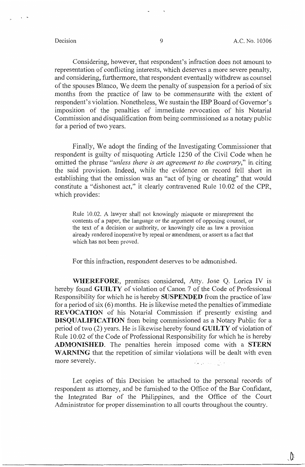Considering, however, that respondent's infraction does not amount to representation of conflicting interests, which deserves a more severe penalty, and considering, furthermore, that respondent eventually withdrew as counsel of the spouses Blanco, We deem the penalty of suspension for a period of six months from the practice of law to be commensurate with the extent of respondent's violation. Nonetheless, We sustain the IBP Board of Governor's imposition of the penalties of immediate revocation of his Notarial Commission and disqualification from being commissioned as a notary public for a period of two years.

Finally, We adopt the finding of the Investigating Commissioner that respondent is guilty of misquoting Article 1250 of the Civil Code when he omitted the phrase *"unless there is an agreement to the contrary,"* in citing the said provision. Indeed, while the evidence on record fell short in establishing that the omission was an "act of lying or cheating" that would constitute a "dishonest act," it clearly contravened Rule 10.02 of the CPR, which provides:

Rule 10.02. A lawyer shall not knowingly misquote or misrepresent the contents of a paper, the language or the argument of opposing counsel, or the text of a decision or authority, or knowingly cite as law a provision already rendered inoperative by repeal or amendment, or assert as a fact that which has not been proved.

For this infraction, respondent deserves to be admonished.

**WHEREFORE,** premises considered, Atty. Jose Q. Lorica IV is hereby found **GUILTY** of violation of Canon 7 of the Code of Professional Responsibility for which he is hereby **SUSPENDED** from the practice of law for a period of six  $(6)$  months. He is likewise meted the penalties of immediate **REVOCATION** of his Notarial Commission if presently existing and **DISQUALIFICATION** from being commissioned as a Notary Public for a period of two (2) years. He is likewise hereby found **GUILTY** of violation of Rule IO .02 of the Code of Professional Responsibility for which he is hereby **ADMONISHED.** The penalties herein imposed come with a **STERN WARNING** that the repetition of similar violations will be dealt with even more severely. والأراد المتحافظة

Let copies of this Decision be attached to the personal records of respondent as attorney, and be furnished to the Office of the Bar Confidant, the Integrated Bar of the Philippines, and the Office of the Court Administrator for proper dissemination to all courts throughout the country.